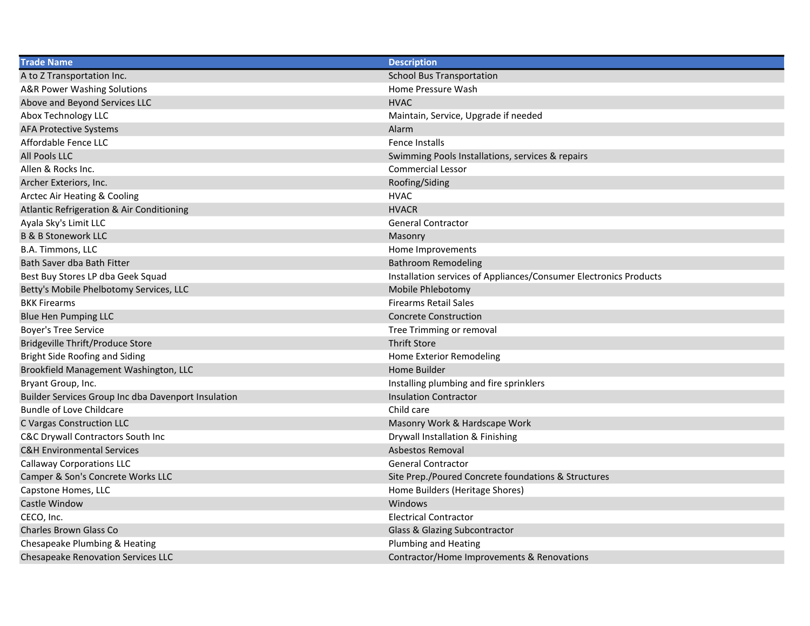| <b>Trade Name</b>                                   | <b>Description</b>                                                |
|-----------------------------------------------------|-------------------------------------------------------------------|
| A to Z Transportation Inc.                          | <b>School Bus Transportation</b>                                  |
| A&R Power Washing Solutions                         | Home Pressure Wash                                                |
| Above and Beyond Services LLC                       | <b>HVAC</b>                                                       |
| Abox Technology LLC                                 | Maintain, Service, Upgrade if needed                              |
| <b>AFA Protective Systems</b>                       | Alarm                                                             |
| Affordable Fence LLC                                | Fence Installs                                                    |
| All Pools LLC                                       | Swimming Pools Installations, services & repairs                  |
| Allen & Rocks Inc.                                  | <b>Commercial Lessor</b>                                          |
| Archer Exteriors, Inc.                              | Roofing/Siding                                                    |
| Arctec Air Heating & Cooling                        | <b>HVAC</b>                                                       |
| Atlantic Refrigeration & Air Conditioning           | <b>HVACR</b>                                                      |
| Ayala Sky's Limit LLC                               | <b>General Contractor</b>                                         |
| <b>B &amp; B Stonework LLC</b>                      | Masonry                                                           |
| B.A. Timmons, LLC                                   | Home Improvements                                                 |
| Bath Saver dba Bath Fitter                          | <b>Bathroom Remodeling</b>                                        |
| Best Buy Stores LP dba Geek Squad                   | Installation services of Appliances/Consumer Electronics Products |
| Betty's Mobile Phelbotomy Services, LLC             | Mobile Phlebotomy                                                 |
| <b>BKK Firearms</b>                                 | <b>Firearms Retail Sales</b>                                      |
| <b>Blue Hen Pumping LLC</b>                         | <b>Concrete Construction</b>                                      |
| <b>Boyer's Tree Service</b>                         | Tree Trimming or removal                                          |
| Bridgeville Thrift/Produce Store                    | <b>Thrift Store</b>                                               |
| Bright Side Roofing and Siding                      | Home Exterior Remodeling                                          |
| Brookfield Management Washington, LLC               | Home Builder                                                      |
| Bryant Group, Inc.                                  | Installing plumbing and fire sprinklers                           |
| Builder Services Group Inc dba Davenport Insulation | <b>Insulation Contractor</b>                                      |
| Bundle of Love Childcare                            | Child care                                                        |
| C Vargas Construction LLC                           | Masonry Work & Hardscape Work                                     |
| C&C Drywall Contractors South Inc                   | Drywall Installation & Finishing                                  |
| <b>C&amp;H Environmental Services</b>               | <b>Asbestos Removal</b>                                           |
| <b>Callaway Corporations LLC</b>                    | <b>General Contractor</b>                                         |
| Camper & Son's Concrete Works LLC                   | Site Prep./Poured Concrete foundations & Structures               |
| Capstone Homes, LLC                                 | Home Builders (Heritage Shores)                                   |
| Castle Window                                       | Windows                                                           |
| CECO, Inc.                                          | <b>Electrical Contractor</b>                                      |
| <b>Charles Brown Glass Co</b>                       | Glass & Glazing Subcontractor                                     |
| Chesapeake Plumbing & Heating                       | <b>Plumbing and Heating</b>                                       |
| <b>Chesapeake Renovation Services LLC</b>           | Contractor/Home Improvements & Renovations                        |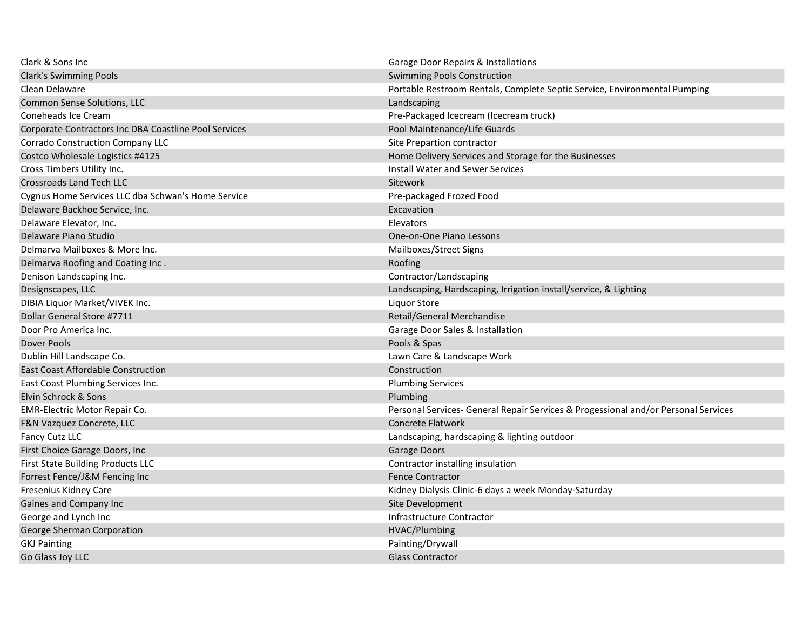| Clark & Sons Inc                                      | <b>Garage Door Repairs &amp; Installations</b>                                     |
|-------------------------------------------------------|------------------------------------------------------------------------------------|
| <b>Clark's Swimming Pools</b>                         | <b>Swimming Pools Construction</b>                                                 |
| Clean Delaware                                        | Portable Restroom Rentals, Complete Septic Service, Environmental Pumping          |
| Common Sense Solutions, LLC                           | Landscaping                                                                        |
| Coneheads Ice Cream                                   | Pre-Packaged Icecream (Icecream truck)                                             |
| Corporate Contractors Inc DBA Coastline Pool Services | Pool Maintenance/Life Guards                                                       |
| <b>Corrado Construction Company LLC</b>               | Site Prepartion contractor                                                         |
| Costco Wholesale Logistics #4125                      | Home Delivery Services and Storage for the Businesses                              |
| Cross Timbers Utility Inc.                            | Install Water and Sewer Services                                                   |
| <b>Crossroads Land Tech LLC</b>                       | Sitework                                                                           |
| Cygnus Home Services LLC dba Schwan's Home Service    | Pre-packaged Frozed Food                                                           |
| Delaware Backhoe Service, Inc.                        | Excavation                                                                         |
| Delaware Elevator, Inc.                               | Elevators                                                                          |
| Delaware Piano Studio                                 | One-on-One Piano Lessons                                                           |
| Delmarya Mailboxes & More Inc.                        | Mailboxes/Street Signs                                                             |
| Delmarva Roofing and Coating Inc.                     | Roofing                                                                            |
| Denison Landscaping Inc.                              | Contractor/Landscaping                                                             |
| Designscapes, LLC                                     | Landscaping, Hardscaping, Irrigation install/service, & Lighting                   |
| DIBIA Liquor Market/VIVEK Inc.                        | Liquor Store                                                                       |
| Dollar General Store #7711                            | Retail/General Merchandise                                                         |
| Door Pro America Inc.                                 | Garage Door Sales & Installation                                                   |
| Dover Pools                                           | Pools & Spas                                                                       |
| Dublin Hill Landscape Co.                             | Lawn Care & Landscape Work                                                         |
| <b>East Coast Affordable Construction</b>             | Construction                                                                       |
| East Coast Plumbing Services Inc.                     | <b>Plumbing Services</b>                                                           |
| Elvin Schrock & Sons                                  | Plumbing                                                                           |
| EMR-Electric Motor Repair Co.                         | Personal Services- General Repair Services & Progessional and/or Personal Services |
| F&N Vazquez Concrete, LLC                             | <b>Concrete Flatwork</b>                                                           |
| Fancy Cutz LLC                                        | Landscaping, hardscaping & lighting outdoor                                        |
| First Choice Garage Doors, Inc                        | Garage Doors                                                                       |
| First State Building Products LLC                     | Contractor installing insulation                                                   |
| Forrest Fence/J&M Fencing Inc                         | <b>Fence Contractor</b>                                                            |
| Fresenius Kidney Care                                 | Kidney Dialysis Clinic-6 days a week Monday-Saturday                               |
| Gaines and Company Inc                                | Site Development                                                                   |
| George and Lynch Inc                                  | Infrastructure Contractor                                                          |
| George Sherman Corporation                            | HVAC/Plumbing                                                                      |
| <b>GKJ Painting</b>                                   | Painting/Drywall                                                                   |
| Go Glass Joy LLC                                      | <b>Glass Contractor</b>                                                            |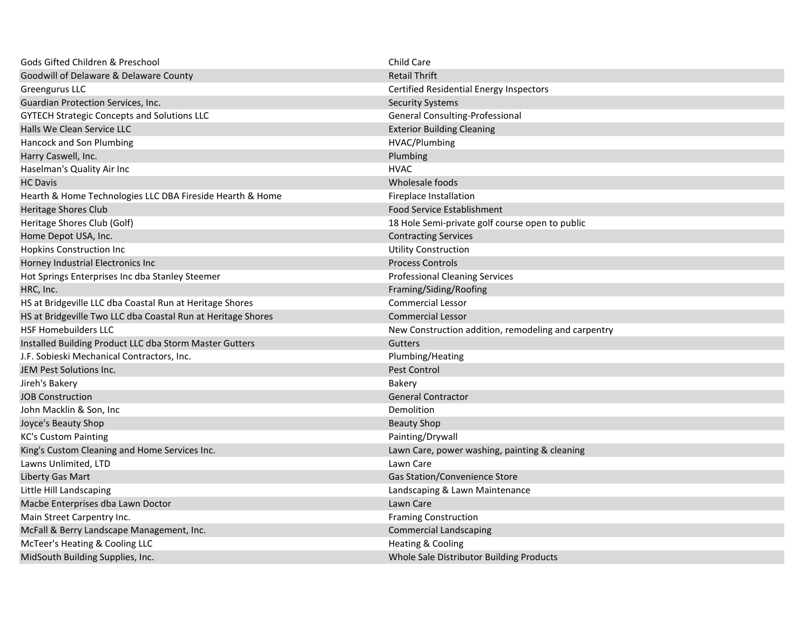| Gods Gifted Children & Preschool                             | Child Care                                          |
|--------------------------------------------------------------|-----------------------------------------------------|
| Goodwill of Delaware & Delaware County                       | <b>Retail Thrift</b>                                |
| Greengurus LLC                                               | <b>Certified Residential Energy Inspectors</b>      |
| Guardian Protection Services, Inc.                           | <b>Security Systems</b>                             |
| <b>GYTECH Strategic Concepts and Solutions LLC</b>           | General Consulting-Professional                     |
| Halls We Clean Service LLC                                   | <b>Exterior Building Cleaning</b>                   |
| Hancock and Son Plumbing                                     | HVAC/Plumbing                                       |
| Harry Caswell, Inc.                                          | Plumbing                                            |
| Haselman's Quality Air Inc                                   | <b>HVAC</b>                                         |
| <b>HC</b> Davis                                              | Wholesale foods                                     |
| Hearth & Home Technologies LLC DBA Fireside Hearth & Home    | <b>Fireplace Installation</b>                       |
| <b>Heritage Shores Club</b>                                  | <b>Food Service Establishment</b>                   |
| Heritage Shores Club (Golf)                                  | 18 Hole Semi-private golf course open to public     |
| Home Depot USA, Inc.                                         | <b>Contracting Services</b>                         |
| <b>Hopkins Construction Inc</b>                              | <b>Utility Construction</b>                         |
| Horney Industrial Electronics Inc                            | <b>Process Controls</b>                             |
| Hot Springs Enterprises Inc dba Stanley Steemer              | <b>Professional Cleaning Services</b>               |
| HRC, Inc.                                                    | Framing/Siding/Roofing                              |
| HS at Bridgeville LLC dba Coastal Run at Heritage Shores     | <b>Commercial Lessor</b>                            |
| HS at Bridgeville Two LLC dba Coastal Run at Heritage Shores | <b>Commercial Lessor</b>                            |
| <b>HSF Homebuilders LLC</b>                                  | New Construction addition, remodeling and carpentry |
| Installed Building Product LLC dba Storm Master Gutters      | Gutters                                             |
| J.F. Sobieski Mechanical Contractors, Inc.                   | Plumbing/Heating                                    |
| JEM Pest Solutions Inc.                                      | Pest Control                                        |
| Jireh's Bakery                                               | Bakery                                              |
| <b>JOB Construction</b>                                      | <b>General Contractor</b>                           |
| John Macklin & Son, Inc                                      | Demolition                                          |
| Joyce's Beauty Shop                                          | <b>Beauty Shop</b>                                  |
| <b>KC's Custom Painting</b>                                  | Painting/Drywall                                    |
| King's Custom Cleaning and Home Services Inc.                | Lawn Care, power washing, painting & cleaning       |
| Lawns Unlimited, LTD                                         | Lawn Care                                           |
| Liberty Gas Mart                                             | Gas Station/Convenience Store                       |
| Little Hill Landscaping                                      | Landscaping & Lawn Maintenance                      |
| Macbe Enterprises dba Lawn Doctor                            | Lawn Care                                           |
| Main Street Carpentry Inc.                                   | <b>Framing Construction</b>                         |
| McFall & Berry Landscape Management, Inc.                    | <b>Commercial Landscaping</b>                       |
| McTeer's Heating & Cooling LLC                               | Heating & Cooling                                   |
| MidSouth Building Supplies, Inc.                             | Whole Sale Distributor Building Products            |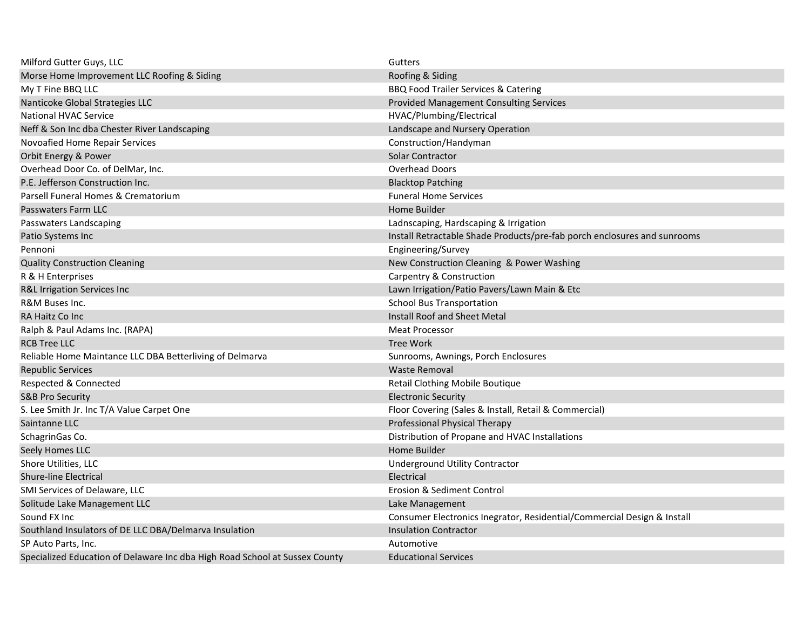| Milford Gutter Guys, LLC                                                    | Gutters                                                                  |
|-----------------------------------------------------------------------------|--------------------------------------------------------------------------|
| Morse Home Improvement LLC Roofing & Siding                                 | Roofing & Siding                                                         |
| My T Fine BBQ LLC                                                           | BBQ Food Trailer Services & Catering                                     |
| Nanticoke Global Strategies LLC                                             | Provided Management Consulting Services                                  |
| <b>National HVAC Service</b>                                                | HVAC/Plumbing/Electrical                                                 |
| Neff & Son Inc dba Chester River Landscaping                                | Landscape and Nursery Operation                                          |
| Novoafied Home Repair Services                                              | Construction/Handyman                                                    |
| Orbit Energy & Power                                                        | Solar Contractor                                                         |
| Overhead Door Co. of DelMar, Inc.                                           | <b>Overhead Doors</b>                                                    |
| P.E. Jefferson Construction Inc.                                            | <b>Blacktop Patching</b>                                                 |
| Parsell Funeral Homes & Crematorium                                         | <b>Funeral Home Services</b>                                             |
| Passwaters Farm LLC                                                         | Home Builder                                                             |
| Passwaters Landscaping                                                      | Ladnscaping, Hardscaping & Irrigation                                    |
| Patio Systems Inc                                                           | Install Retractable Shade Products/pre-fab porch enclosures and sunrooms |
| Pennoni                                                                     | Engineering/Survey                                                       |
| <b>Quality Construction Cleaning</b>                                        | New Construction Cleaning & Power Washing                                |
| R & H Enterprises                                                           | Carpentry & Construction                                                 |
| R&L Irrigation Services Inc                                                 | Lawn Irrigation/Patio Pavers/Lawn Main & Etc                             |
| R&M Buses Inc.                                                              | <b>School Bus Transportation</b>                                         |
| RA Haitz Co Inc                                                             | Install Roof and Sheet Metal                                             |
| Ralph & Paul Adams Inc. (RAPA)                                              | <b>Meat Processor</b>                                                    |
| <b>RCB Tree LLC</b>                                                         | <b>Tree Work</b>                                                         |
| Reliable Home Maintance LLC DBA Betterliving of Delmarva                    | Sunrooms, Awnings, Porch Enclosures                                      |
| <b>Republic Services</b>                                                    | <b>Waste Removal</b>                                                     |
| Respected & Connected                                                       | Retail Clothing Mobile Boutique                                          |
| <b>S&amp;B Pro Security</b>                                                 | <b>Electronic Security</b>                                               |
| S. Lee Smith Jr. Inc T/A Value Carpet One                                   | Floor Covering (Sales & Install, Retail & Commercial)                    |
| Saintanne LLC                                                               | Professional Physical Therapy                                            |
| SchagrinGas Co.                                                             | Distribution of Propane and HVAC Installations                           |
| Seely Homes LLC                                                             | Home Builder                                                             |
| Shore Utilities, LLC                                                        | <b>Underground Utility Contractor</b>                                    |
| <b>Shure-line Electrical</b>                                                | Electrical                                                               |
| SMI Services of Delaware, LLC                                               | Erosion & Sediment Control                                               |
| Solitude Lake Management LLC                                                | Lake Management                                                          |
| Sound FX Inc                                                                | Consumer Electronics Inegrator, Residential/Commercial Design & Install  |
| Southland Insulators of DE LLC DBA/Delmarva Insulation                      | <b>Insulation Contractor</b>                                             |
| SP Auto Parts, Inc.                                                         | Automotive                                                               |
| Specialized Education of Delaware Inc dba High Road School at Sussex County | <b>Educational Services</b>                                              |